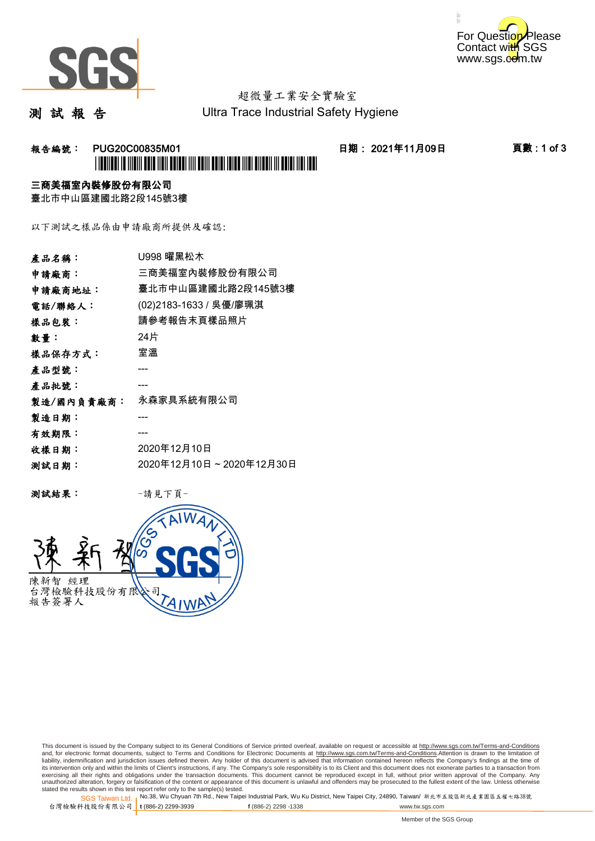



# 超微量工業安全實驗室

測 試 報 告

Ultra Trace Industrial Safety Hygiene

### 报告編號: PUG20C00835M01 日期: 2021年11月09日 頁數:1 of 3 \*PUG20C00835M01\*

#### 三商美福室內裝修股份有限公司

臺北市中山區建國北路2段145號3樓

以下測試之樣品係由申請廠商所提供及確認:

| 產品名稱:      | U998 曜黑松木               |
|------------|-------------------------|
| 申請廠商:      | 三商美福室內裝修股份有限公司          |
| 申請廠商地址:    | 臺北市中山區建國北路2段145號3樓      |
| 電話/聯絡人:    | (02)2183-1633 / 吳優/廖珮淇  |
| 樣品包裝:      | 請參考報告末頁樣品照片             |
| 數量:        | 24片                     |
| 樣品保存方式:    | 室溫                      |
| 產品型號:      |                         |
| 產品批號:      |                         |
| 製造/國內負責廠商: | 永森家具系統有限公司              |
| 製造日期:      |                         |
| 有效期限:      |                         |
| 收樣日期:      | 2020年12月10日             |
| 测試日期:      | 2020年12月10日~2020年12月30日 |
|            |                         |

测試結果: 一請見下頁



This document is issued by the Company subject to its General Conditions of Service printed overleaf, available on request or accessible at http://www.sgs.com.tw/Terms-and-Conditions and, for electronic format documents, subject to Terms and Conditions for Electronic Documents at <u>http://www.sgs.com.tw/Terms-and-Conditions</u>.Attention is drawn to the limitation of<br>liability, indemnification and jurisdic exercising all their rights and obligations under the transaction documents. This document cannot be reproduced except in full, without prior written approval of the Company. Any<br>unauthorized alteration, forgery or falsifi

SGS Taiwan Ltd. 1 stated the results shown in this test report refer only to the sample(s) tested.<br>Stated the results shown in this test report refer only to the sample(s) tested.

台灣檢驗科技股份有限公司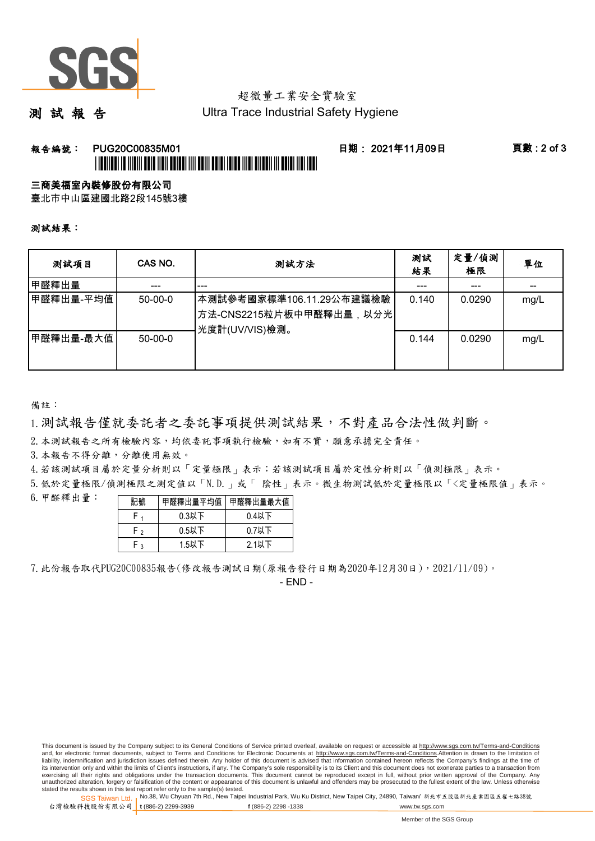

## 超微量工業安全實驗室

測 試 報 告

Ultra Trace Industrial Safety Hygiene

#### 報告編號: PUG20C00835M01 日期: 2021年11月09日 頁數 : 2 of 3 \*FUGENCER TE IN DIT BEITE TIEN BEI DER BITTE BEITE BEI DIE TEILE TITLE BIT DIE BEI DIE BEI DER TEILE

三商美福室內裝修股份有限公司

臺北市中山區建國北路2段145號3樓

測試結果:

| 测試項目      | CAS NO.       | 測試方法                                                                  | 測試<br>結果 | 定量/偵測<br>極限 | 單位   |
|-----------|---------------|-----------------------------------------------------------------------|----------|-------------|------|
| 甲醛釋出量     |               | ---                                                                   |          | ---         |      |
| 甲醛釋出量-平均值 | $50-00-0$     | 本測試參考國家標準106.11.29公布建議檢驗<br>方法-CNS2215粒片板中甲醛釋出量,以分光<br>光度計(UV/VIS)檢測。 | 0.140    | 0.0290      | mg/L |
| 甲醛釋出量-最大值 | $50 - 00 - 0$ |                                                                       | 0.144    | 0.0290      | mg/L |

備註:

1.測試報告僅就委託者之委託事項提供測試結果,不對產品合法性做判斷。

2.本測試報告之所有檢驗內容,均依委託事項執行檢驗,如有不實,願意承擔完全責任。

3. 本報告不得分離,分離使用無效。

4.若該測試項目屬於定量分析則以「定量極限」表示;若該測試項目屬於定性分析則以「偵測極限」表示。

5.低於定量極限/偵測極限之測定值以「N.D.」或「 陰性」表示。微生物測試低於定量極限以「<定量極限值」表示。

6.甲醛釋出量:

| 記號  |          | 甲醛釋出量平均值 甲醛釋出量最大值 |  |  |
|-----|----------|-------------------|--|--|
|     | $0.3$ 以下 | $0.4$ 以下          |  |  |
| r , | $0.5$ 以下 | $0.7$ 以下          |  |  |
| . ວ | $1.5$ 以下 | $2.1$ 以下          |  |  |

7.此份報告取代PUG20C00835報告(修改報告測試日期(原報告發行日期為2020年12月30日),2021/11/09)。

- END -

This document is issued by the Company subject to its General Conditions of Service printed overleaf, available on request or accessible at http://www.sgs.com.tw/Terms-and-Conditions and, for electronic format documents, subject to Terms and Conditions for Electronic Documents at http://www.sgs.com.tw/Terms-and-Conditions.Attention is drawn to the limitation of liability, indemnification and jurisdiction issues defined therein. Any holder of this document is advised that information contained hereon reflects the Company's findings at the time of<br>its intervention only and within t exercising all their rights and obligations under the transaction documents. This document cannot be reproduced except in full, without prior written approval of the Company. Any<br>unauthorized alteration, forgery or falsifi

SGS Taiwan Ltd. 1 stated the results shown in this test report refer only to the sample(s) tested.<br>Stated the results shown in this test report refer only to the sample(s) tested.

台灣檢驗科技股份有限公司 **t** (886-2) 2299-3939 **f** (886-2) 2298 -1338 www.tw.sgs.com